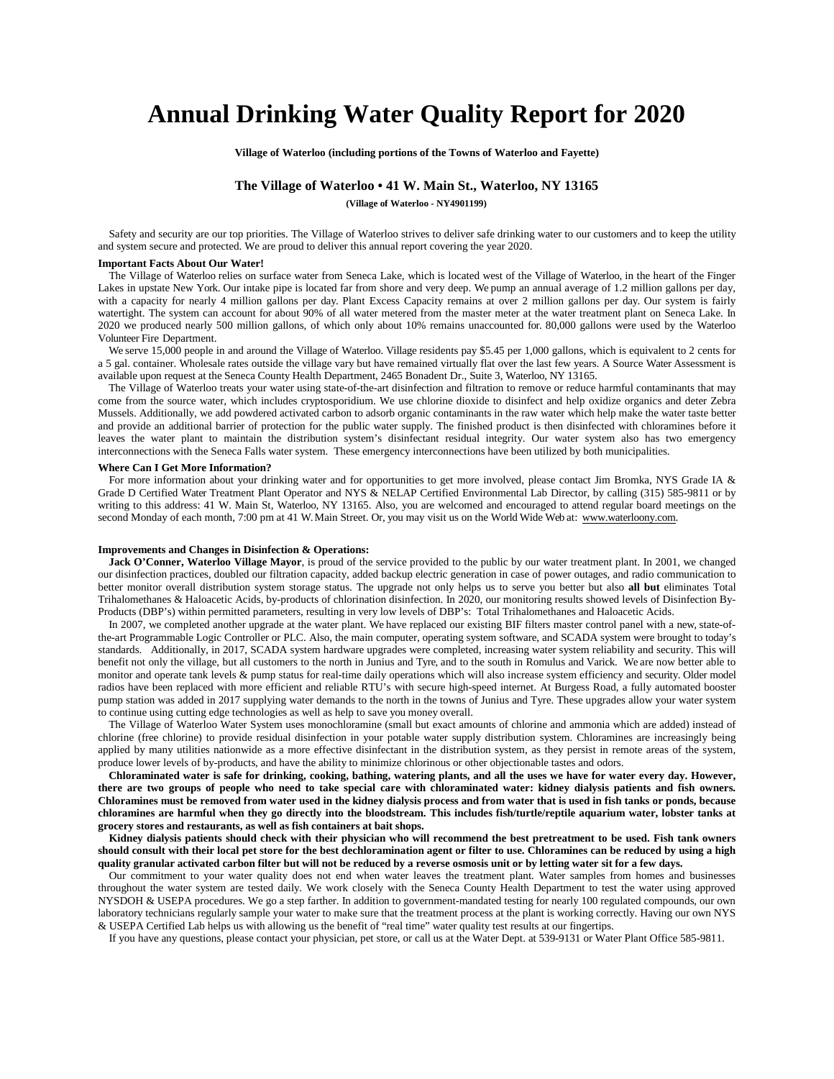# **Annual Drinking Water Quality Report for 2020**

**Village of Waterloo (including portions of the Towns of Waterloo and Fayette)**

# **The Village of Waterloo • 41 W. Main St., Waterloo, NY 13165**

**(Village of Waterloo - NY4901199)**

Safety and security are our top priorities. The Village of Waterloo strives to deliver safe drinking water to our customers and to keep the utility and system secure and protected. We are proud to deliver this annual report covering the year 2020.

## **Important Facts About Our Water!**

The Village of Waterloo relies on surface water from Seneca Lake, which is located west of the Village of Waterloo, in the heart of the Finger Lakes in upstate New York. Our intake pipe is located far from shore and very deep. We pump an annual average of 1.2 million gallons per day, with a capacity for nearly 4 million gallons per day. Plant Excess Capacity remains at over 2 million gallons per day. Our system is fairly watertight. The system can account for about 90% of all water metered from the master meter at the water treatment plant on Seneca Lake. In 2020 we produced nearly 500 million gallons, of which only about 10% remains unaccounted for. 80,000 gallons were used by the Waterloo Volunteer Fire Department.

We serve 15,000 people in and around the Village of Waterloo. Village residents pay \$5.45 per 1,000 gallons, which is equivalent to 2 cents for a 5 gal. container. Wholesale rates outside the village vary but have remained virtually flat over the last few years. A Source Water Assessment is available upon request at the Seneca County Health Department, 2465 Bonadent Dr., Suite 3, Waterloo, NY 13165.

The Village of Waterloo treats your water using state-of-the-art disinfection and filtration to remove or reduce harmful contaminants that may come from the source water, which includes cryptosporidium. We use chlorine dioxide to disinfect and help oxidize organics and deter Zebra Mussels. Additionally, we add powdered activated carbon to adsorb organic contaminants in the raw water which help make the water taste better and provide an additional barrier of protection for the public water supply. The finished product is then disinfected with chloramines before it leaves the water plant to maintain the distribution system's disinfectant residual integrity. Our water system also has two emergency interconnections with the Seneca Falls water system. These emergency interconnections have been utilized by both municipalities.

## **Where Can I Get More Information?**

For more information about your drinking water and for opportunities to get more involved, please contact Jim Bromka, NYS Grade IA & Grade D Certified Water Treatment Plant Operator and NYS & NELAP Certified Environmental Lab Director, by calling (315) 585-9811 or by writing to this address: 41 W. Main St, Waterloo, NY 13165. Also, you are welcomed and encouraged to attend regular board meetings on the second Monday of each month, 7:00 pm at 41 W. Main Street. Or, you may visit us on the World Wide Web at: [www.waterloony.com.](http://www.waterloony.com/)

#### **Improvements and Changes in Disinfection & Operations:**

Jack O'Conner, Waterloo Village Mayor, is proud of the service provided to the public by our water treatment plant. In 2001, we changed our disinfection practices, doubled our filtration capacity, added backup electric generation in case of power outages, and radio communication to better monitor overall distribution system storage status. The upgrade not only helps us to serve you better but also **all but** eliminates Total Trihalomethanes & Haloacetic Acids, by-products of chlorination disinfection. In 2020, our monitoring results showed levels of Disinfection By-Products (DBP's) within permitted parameters, resulting in very low levels of DBP's: Total Trihalomethanes and Haloacetic Acids.

In 2007, we completed another upgrade at the water plant. We have replaced our existing BIF filters master control panel with a new, state-ofthe-art Programmable Logic Controller or PLC. Also, the main computer, operating system software, and SCADA system were brought to today's standards. Additionally, in 2017, SCADA system hardware upgrades were completed, increasing water system reliability and security. This will benefit not only the village, but all customers to the north in Junius and Tyre, and to the south in Romulus and Varick. We are now better able to monitor and operate tank levels & pump status for real-time daily operations which will also increase system efficiency and security. Older model radios have been replaced with more efficient and reliable RTU's with secure high-speed internet. At Burgess Road, a fully automated booster pump station was added in 2017 supplying water demands to the north in the towns of Junius and Tyre. These upgrades allow your water system to continue using cutting edge technologies as well as help to save you money overall.

The Village of Waterloo Water System uses monochloramine (small but exact amounts of chlorine and ammonia which are added) instead of chlorine (free chlorine) to provide residual disinfection in your potable water supply distribution system. Chloramines are increasingly being applied by many utilities nationwide as a more effective disinfectant in the distribution system, as they persist in remote areas of the system, produce lower levels of by-products, and have the ability to minimize chlorinous or other objectionable tastes and odors.

**Chloraminated water is safe for drinking, cooking, bathing, watering plants, and all the uses we have for water every day. However, there are two groups of people who need to take special care with chloraminated water: kidney dialysis patients and fish owners. Chloramines must be removed from water used in the kidney dialysis process and from water that is used in fish tanks or ponds, because chloramines are harmful when they go directly into the bloodstream. This includes fish/turtle/reptile aquarium water, lobster tanks at grocery stores and restaurants, as well as fish containers at bait shops.**

**Kidney dialysis patients should check with their physician who will recommend the best pretreatment to be used. Fish tank owners should consult with their local pet store for the best dechloramination agent or filter to use. Chloramines can be reduced by using a high quality granular activated carbon filter but will not be reduced by a reverse osmosis unit or by letting water sit for a few days.**

Our commitment to your water quality does not end when water leaves the treatment plant. Water samples from homes and businesses throughout the water system are tested daily. We work closely with the Seneca County Health Department to test the water using approved NYSDOH & USEPA procedures. We go a step farther. In addition to government-mandated testing for nearly 100 regulated compounds, our own laboratory technicians regularly sample your water to make sure that the treatment process at the plant is working correctly. Having our own NYS & USEPA Certified Lab helps us with allowing us the benefit of "real time" water quality test results at our fingertips.

If you have any questions, please contact your physician, pet store, or call us at the Water Dept. at 539-9131 or Water Plant Office 585-9811.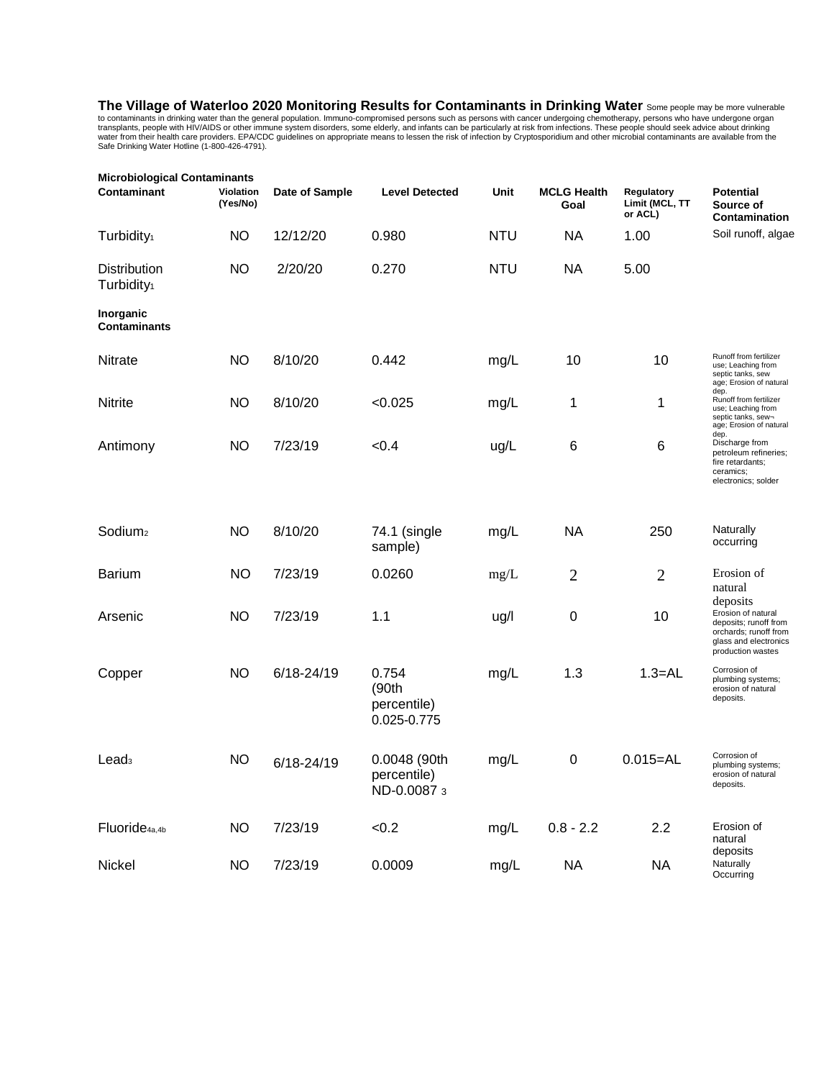**The Village of Waterloo 2020 Monitoring Results for Contaminants in Drinking Water** Some people may be more vulnerable to contaminants in drinking water than the general population. Immuno-compromised persons such as persons with cancer undergoing chemotherapy, persons who have undergone organ<br>transplants, people with HIV/AIDS or other imm

| <b>Microbiological Contaminants</b>           |                       |                |                                              |            |                            |                                         |                                                                                                                                |  |  |
|-----------------------------------------------|-----------------------|----------------|----------------------------------------------|------------|----------------------------|-----------------------------------------|--------------------------------------------------------------------------------------------------------------------------------|--|--|
| Contaminant                                   | Violation<br>(Yes/No) | Date of Sample | <b>Level Detected</b>                        | Unit       | <b>MCLG Health</b><br>Goal | Regulatory<br>Limit (MCL, TT<br>or ACL) | <b>Potential</b><br>Source of<br>Contamination                                                                                 |  |  |
| Turbidity <sub>1</sub>                        | NO                    | 12/12/20       | 0.980                                        | <b>NTU</b> | <b>NA</b>                  | 1.00                                    | Soil runoff, algae                                                                                                             |  |  |
| <b>Distribution</b><br>Turbidity <sub>1</sub> | ΝO                    | 2/20/20        | 0.270                                        | <b>NTU</b> | <b>NA</b>                  | 5.00                                    |                                                                                                                                |  |  |
| Inorganic<br><b>Contaminants</b>              |                       |                |                                              |            |                            |                                         |                                                                                                                                |  |  |
| <b>Nitrate</b>                                | ΝO                    | 8/10/20        | 0.442                                        | mg/L       | 10                         | 10                                      | Runoff from fertilizer<br>use; Leaching from<br>septic tanks, sew<br>age; Erosion of natural                                   |  |  |
| Nitrite                                       | <b>NO</b>             | 8/10/20        | < 0.025                                      | mg/L       | 1                          | 1                                       | dep.<br>Runoff from fertilizer<br>use; Leaching from<br>septic tanks, sew-<br>age; Erosion of natural                          |  |  |
| Antimony                                      | ΝO                    | 7/23/19        | < 0.4                                        | ug/L       | $\,6$                      | $6\phantom{1}6$                         | dep.<br>Discharge from<br>petroleum refineries;<br>fire retardants;<br>ceramics;<br>electronics; solder                        |  |  |
| Sodium <sub>2</sub>                           | ΝO                    | 8/10/20        | 74.1 (single<br>sample)                      | mg/L       | NA                         | 250                                     | Naturally<br>occurring                                                                                                         |  |  |
| <b>Barium</b>                                 | ΝO                    | 7/23/19        | 0.0260                                       | mg/L       | $\overline{2}$             | $\overline{2}$                          | Erosion of<br>natural                                                                                                          |  |  |
| Arsenic                                       | ΝO                    | 7/23/19        | 1.1                                          | ug/l       | $\boldsymbol{0}$           | 10                                      | deposits<br>Erosion of natural<br>deposits; runoff from<br>orchards; runoff from<br>glass and electronics<br>production wastes |  |  |
| Copper                                        | ΝO                    | 6/18-24/19     | 0.754<br>(90th<br>percentile)<br>0.025-0.775 | mg/L       | 1.3                        | $1.3 = AL$                              | Corrosion of<br>plumbing systems;<br>erosion of natural<br>deposits.                                                           |  |  |
| Lead <sub>3</sub>                             | <b>NO</b>             | $6/18 - 24/19$ | 0.0048 (90th<br>percentile)<br>ND-0.0087 3   | mg/L       | $\boldsymbol{0}$           | $0.015 = AL$                            | Corrosion of<br>plumbing systems;<br>erosion of natural<br>deposits.                                                           |  |  |
| Fluoride <sub>4a.4b</sub>                     | ΝO                    | 7/23/19        | < 0.2                                        | mg/L       | $0.8 - 2.2$                | 2.2                                     | Erosion of<br>natural                                                                                                          |  |  |
| Nickel                                        | <b>NO</b>             | 7/23/19        | 0.0009                                       | mg/L       | <b>NA</b>                  | <b>NA</b>                               | deposits<br>Naturally<br>Occurring                                                                                             |  |  |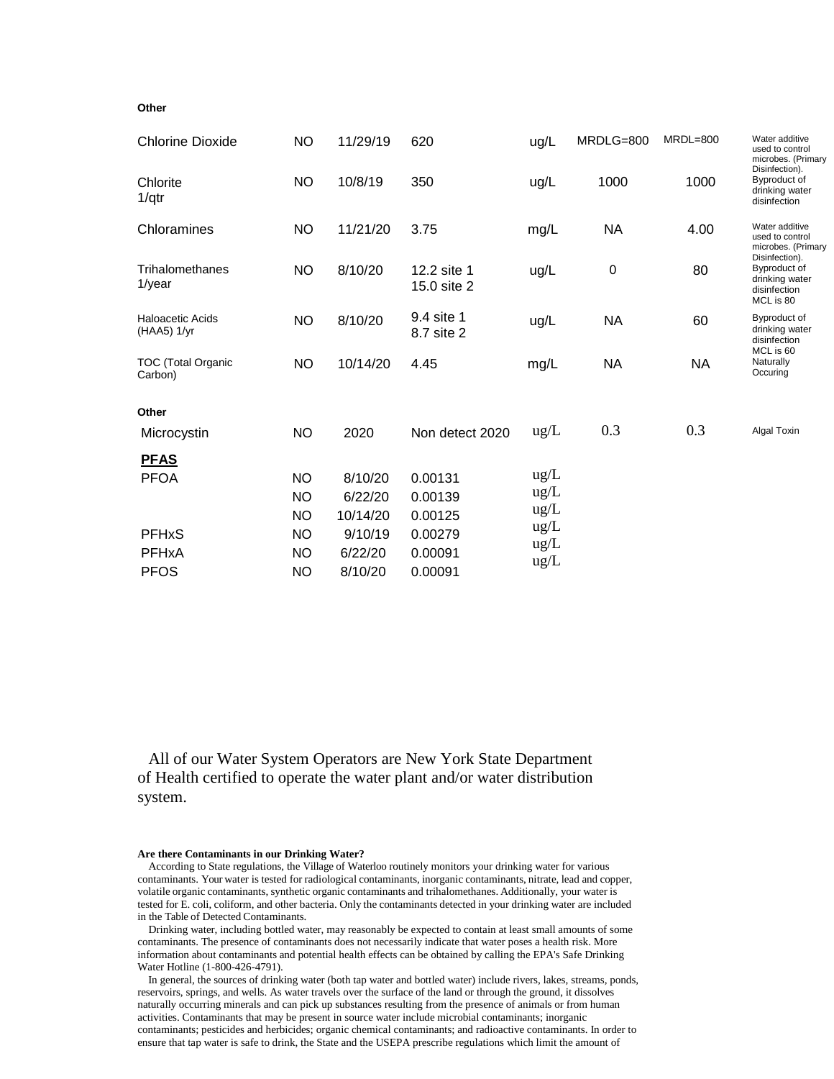# **Other**

| <b>Chlorine Dioxide</b>                  | <b>NO</b> | 11/29/19 | 620                        | ug/L | MRDLG=800 | $MRDL=800$ | Water additive<br>used to control<br>microbes. (Primary                   |
|------------------------------------------|-----------|----------|----------------------------|------|-----------|------------|---------------------------------------------------------------------------|
| Chlorite<br>1/qtr                        | <b>NO</b> | 10/8/19  | 350                        | ug/L | 1000      | 1000       | Disinfection).<br>Byproduct of<br>drinking water<br>disinfection          |
| Chloramines                              | <b>NO</b> | 11/21/20 | 3.75                       | mg/L | <b>NA</b> | 4.00       | Water additive<br>used to control<br>microbes. (Primary<br>Disinfection). |
| Trihalomethanes<br>$1$ /year             | <b>NO</b> | 8/10/20  | 12.2 site 1<br>15.0 site 2 | ug/L | 0         | 80         | Byproduct of<br>drinking water<br>disinfection<br>MCL is 80               |
| <b>Haloacetic Acids</b><br>$(HAA5)$ 1/yr | <b>NO</b> | 8/10/20  | 9.4 site 1<br>8.7 site 2   | ug/L | <b>NA</b> | 60         | Byproduct of<br>drinking water<br>disinfection<br>MCL is 60               |
| <b>TOC (Total Organic</b><br>Carbon)     | <b>NO</b> | 10/14/20 | 4.45                       | mg/L | <b>NA</b> | <b>NA</b>  | Naturally<br>Occuring                                                     |
| Other                                    |           |          |                            |      |           |            |                                                                           |
| Microcystin                              | <b>NO</b> | 2020     | Non detect 2020            | ug/L | 0.3       | 0.3        | Algal Toxin                                                               |
| <b>PFAS</b>                              |           |          |                            |      |           |            |                                                                           |
| <b>PFOA</b>                              | <b>NO</b> | 8/10/20  | 0.00131                    | ug/L |           |            |                                                                           |
|                                          | <b>NO</b> | 6/22/20  | 0.00139                    | ug/L |           |            |                                                                           |
|                                          | <b>NO</b> | 10/14/20 | 0.00125                    | ug/L |           |            |                                                                           |
| <b>PFHxS</b>                             | <b>NO</b> | 9/10/19  | 0.00279                    | ug/L |           |            |                                                                           |
| <b>PFHxA</b>                             | <b>NO</b> | 6/22/20  | 0.00091                    | ug/L |           |            |                                                                           |
| <b>PFOS</b>                              | <b>NO</b> | 8/10/20  | 0.00091                    | ug/L |           |            |                                                                           |

All of our Water System Operators are New York State Department of Health certified to operate the water plant and/or water distribution system.

# **Are there Contaminants in our Drinking Water?**

According to State regulations, the Village of Waterloo routinely monitors your drinking water for various contaminants. Your water is tested for radiological contaminants, inorganic contaminants, nitrate, lead and copper, volatile organic contaminants, synthetic organic contaminants and trihalomethanes. Additionally, your water is tested for E. coli, coliform, and other bacteria. Only the contaminants detected in your drinking water are included in the Table of Detected Contaminants.

Drinking water, including bottled water, may reasonably be expected to contain at least small amounts of some contaminants. The presence of contaminants does not necessarily indicate that water poses a health risk. More information about contaminants and potential health effects can be obtained by calling the EPA's Safe Drinking Water Hotline (1-800-426-4791).

In general, the sources of drinking water (both tap water and bottled water) include rivers, lakes, streams, ponds, reservoirs, springs, and wells. As water travels over the surface of the land or through the ground, it dissolves naturally occurring minerals and can pick up substances resulting from the presence of animals or from human activities. Contaminants that may be present in source water include microbial contaminants; inorganic contaminants; pesticides and herbicides; organic chemical contaminants; and radioactive contaminants. In order to ensure that tap water is safe to drink, the State and the USEPA prescribe regulations which limit the amount of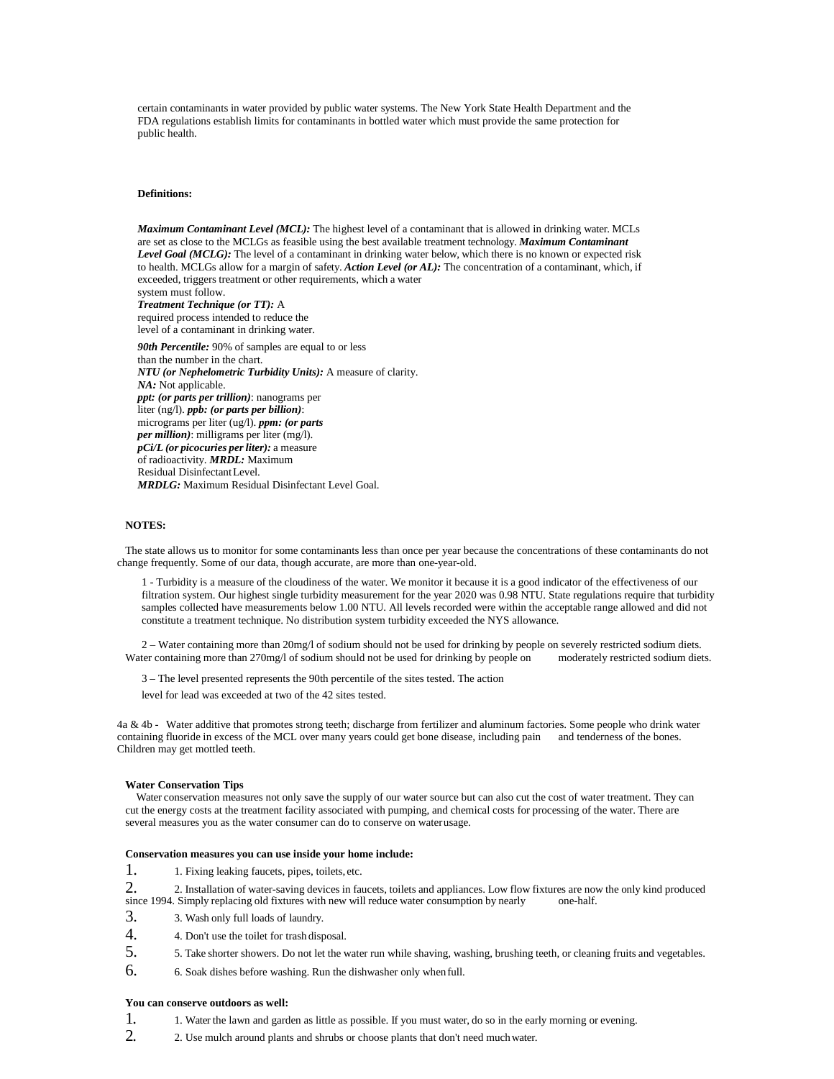certain contaminants in water provided by public water systems. The New York State Health Department and the FDA regulations establish limits for contaminants in bottled water which must provide the same protection for public health.

# **Definitions:**

*Maximum Contaminant Level (MCL):* The highest level of a contaminant that is allowed in drinking water. MCLs are set as close to the MCLGs as feasible using the best available treatment technology. *Maximum Contaminant Level Goal (MCLG):* The level of a contaminant in drinking water below, which there is no known or expected risk to health. MCLGs allow for a margin of safety. *Action Level (or AL):* The concentration of a contaminant, which, if exceeded, triggers treatment or other requirements, which a water system must follow.

*Treatment Technique (or TT):* A required process intended to reduce the

level of a contaminant in drinking water. *90th Percentile:* 90% of samples are equal to or less than the number in the chart. *NTU (or Nephelometric Turbidity Units):* A measure of clarity. *NA:* Not applicable. *ppt: (or parts per trillion)*: nanograms per liter (ng/l). *ppb: (or parts per billion)*: micrograms per liter (ug/l). *ppm: (or parts per million)*: milligrams per liter (mg/l). *pCi/L (or picocuries perliter):* a measure of radioactivity. *MRDL:* Maximum Residual Disinfectant Level. *MRDLG:* Maximum Residual Disinfectant Level Goal.

# **NOTES:**

The state allows us to monitor for some contaminants less than once per year because the concentrations of these contaminants do not change frequently. Some of our data, though accurate, are more than one-year-old.

1 - Turbidity is a measure of the cloudiness of the water. We monitor it because it is a good indicator of the effectiveness of our filtration system. Our highest single turbidity measurement for the year 2020 was 0.98 NTU. State regulations require that turbidity samples collected have measurements below 1.00 NTU. All levels recorded were within the acceptable range allowed and did not constitute a treatment technique. No distribution system turbidity exceeded the NYS allowance.

2 – Water containing more than 20mg/l of sodium should not be used for drinking by people on severely restricted sodium diets. Water containing more than 270mg/l of sodium should not be used for drinking by people on

3 – The level presented represents the 90th percentile of the sites tested. The action

level for lead was exceeded at two of the 42 sites tested.

4a & 4b - Water additive that promotes strong teeth; discharge from fertilizer and aluminum factories. Some people who drink water containing fluoride in excess of the MCL over many years could get bone disease, including pain and tenderness of the bones. Children may get mottled teeth.

#### **Water Conservation Tips**

Water conservation measures not only save the supply of our water source but can also cut the cost of water treatment. They can cut the energy costs at the treatment facility associated with pumping, and chemical costs for processing of the water. There are several measures you as the water consumer can do to conserve on waterusage.

#### **Conservation measures you can use inside your home include:**

1. 1. Fixing leaking faucets, pipes, toilets, etc.

- 2. 2. Installation of water-saving devices in faucets, toilets and appliances. Low flow fixtures are now the only kind produced since 1994. Simply replacing old fixtures with new will reduce water consumption by nearly one since 1994. Simply replacing old fixtures with new will reduce water consumption by nearly
- 3. 3. Wash only full loads of laundry.
- 4. 4. Don't use the toilet for trash disposal.
- 5. 5. Take shorter showers. Do not let the water run while shaving, washing, brushing teeth, or cleaning fruits and vegetables.
- 6. 6. Soak dishes before washing. Run the dishwasher only whenfull.

# **You can conserve outdoors as well:**

- 1. 1. Water the lawn and garden as little as possible. If you must water, do so in the early morning or evening.
- 2. 2. Use mulch around plants and shrubs or choose plants that don't need muchwater.